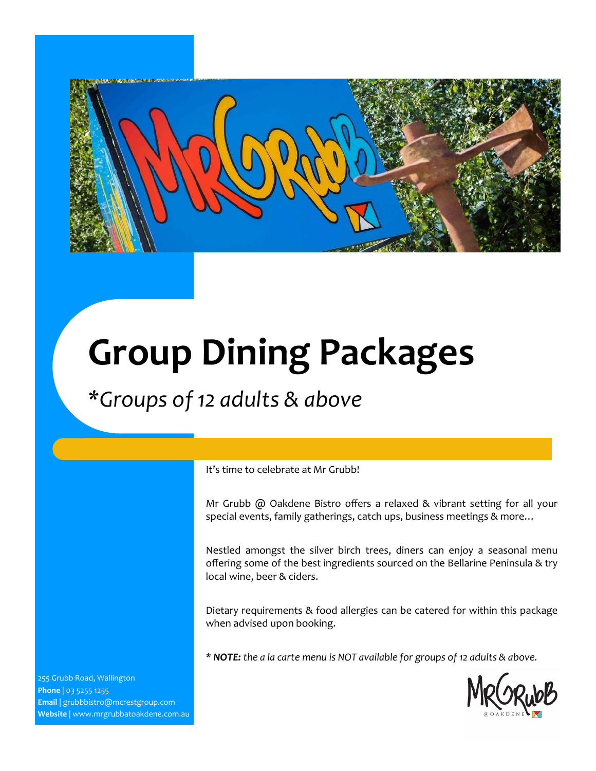

# **Group Dining Packages**

### *\*Groups of 12 adults & above*

It's time to celebrate at Mr Grubb!

Mr Grubb @ Oakdene Bistro offers a relaxed & vibrant setting for all your special events, family gatherings, catch ups, business meetings & more…

Nestled amongst the silver birch trees, diners can enjoy a seasonal menu offering some of the best ingredients sourced on the Bellarine Peninsula & try local wine, beer & ciders.

Dietary requirements & food allergies can be catered for within this package when advised upon booking.

*\* NOTE: the a la carte menu is NOT available for groups of 12 adults & above.*

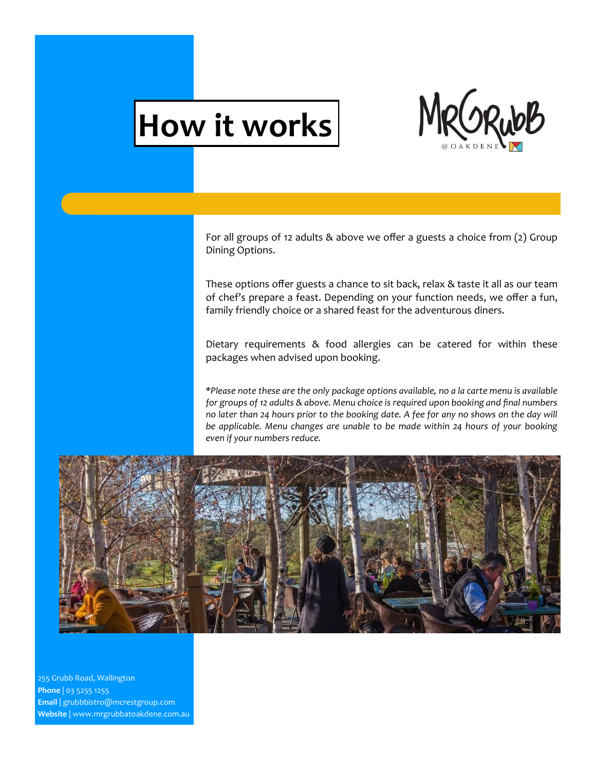# **How it works**



For all groups of 12 adults & above we offer a guests a choice from (2) Group Dining Options.

These options offer guests a chance to sit back, relax & taste it all as our team of chef's prepare a feast. Depending on your function needs, we offer a fun, family friendly choice or a shared feast for the adventurous diners.

Dietary requirements & food allergies can be catered for within these packages when advised upon booking.

*\*Please note these are the only package options available, no a la carte menu is available for groups of 12 adults & above. Menu choice is required upon booking and final numbers no later than 24 hours prior to the booking date. A fee for any no shows on the day will be applicable. Menu changes are unable to be made within 24 hours of your booking even if your numbers reduce.* 

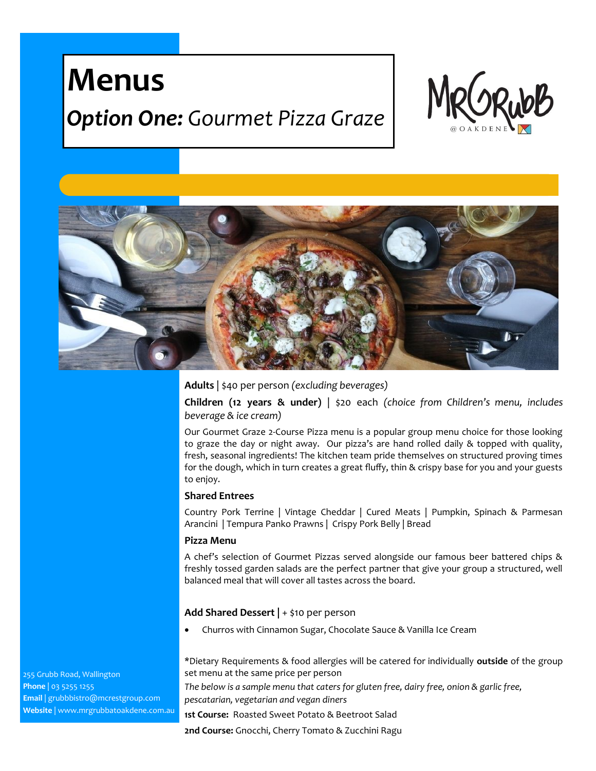## **Menus**

### *Option One: Gourmet Pizza Graze*





**Adults** | \$40 per person *(excluding beverages)*

**Children (12 years & under)** | \$20 each *(choice from Children's menu, includes beverage & ice cream)*

Our Gourmet Graze 2-Course Pizza menu is a popular group menu choice for those looking to graze the day or night away. Our pizza's are hand rolled daily & topped with quality, fresh, seasonal ingredients! The kitchen team pride themselves on structured proving times for the dough, which in turn creates a great fluffy, thin & crispy base for you and your guests to enjoy.

### **Shared Entrees**

Country Pork Terrine | Vintage Cheddar | Cured Meats | Pumpkin, Spinach & Parmesan Arancini | Tempura Panko Prawns | Crispy Pork Belly | Bread

### **Pizza Menu**

A chef's selection of Gourmet Pizzas served alongside our famous beer battered chips & freshly tossed garden salads are the perfect partner that give your group a structured, well balanced meal that will cover all tastes across the board.

### **Add Shared Dessert |** + \$10 per person

Churros with Cinnamon Sugar, Chocolate Sauce & Vanilla Ice Cream

\*Dietary Requirements & food allergies will be catered for individually **outside** of the group set menu at the same price per person

*The below is a sample menu that caters for gluten free, dairy free, onion & garlic free, pescatarian, vegetarian and vegan diners*

**1st Course:** Roasted Sweet Potato & Beetroot Salad

**2nd Course:** Gnocchi, Cherry Tomato & Zucchini Ragu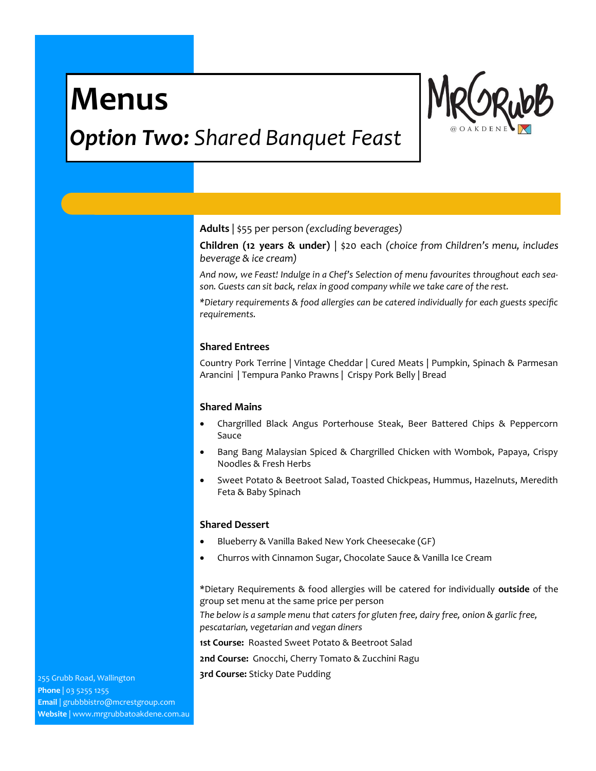## **Menus**



### *Option Two: Shared Banquet Feast*

**Adults** | \$55 per person *(excluding beverages)*

**Children (12 years & under)** | \$20 each *(choice from Children's menu, includes beverage & ice cream)*

*And now, we Feast! Indulge in a Chef's Selection of menu favourites throughout each season. Guests can sit back, relax in good company while we take care of the rest.* 

*\*Dietary requirements & food allergies can be catered individually for each guests specific requirements.* 

### **Shared Entrees**

Country Pork Terrine | Vintage Cheddar | Cured Meats | Pumpkin, Spinach & Parmesan Arancini | Tempura Panko Prawns | Crispy Pork Belly | Bread

### **Shared Mains**

- Chargrilled Black Angus Porterhouse Steak, Beer Battered Chips & Peppercorn Sauce
- Bang Bang Malaysian Spiced & Chargrilled Chicken with Wombok, Papaya, Crispy Noodles & Fresh Herbs
- Sweet Potato & Beetroot Salad, Toasted Chickpeas, Hummus, Hazelnuts, Meredith Feta & Baby Spinach

### **Shared Dessert**

- Blueberry & Vanilla Baked New York Cheesecake (GF)
- Churros with Cinnamon Sugar, Chocolate Sauce & Vanilla Ice Cream

\*Dietary Requirements & food allergies will be catered for individually **outside** of the group set menu at the same price per person

*The below is a sample menu that caters for gluten free, dairy free, onion & garlic free, pescatarian, vegetarian and vegan diners*

**1st Course:** Roasted Sweet Potato & Beetroot Salad

**2nd Course:** Gnocchi, Cherry Tomato & Zucchini Ragu

**3rd Course:** Sticky Date Pudding 255 Grubb Road, Wallington

**Phone** | 03 5255 1255 **Email** | grubbbistro@mcrestgroup.com **Website** | www.mrgrubbatoakdene.com.au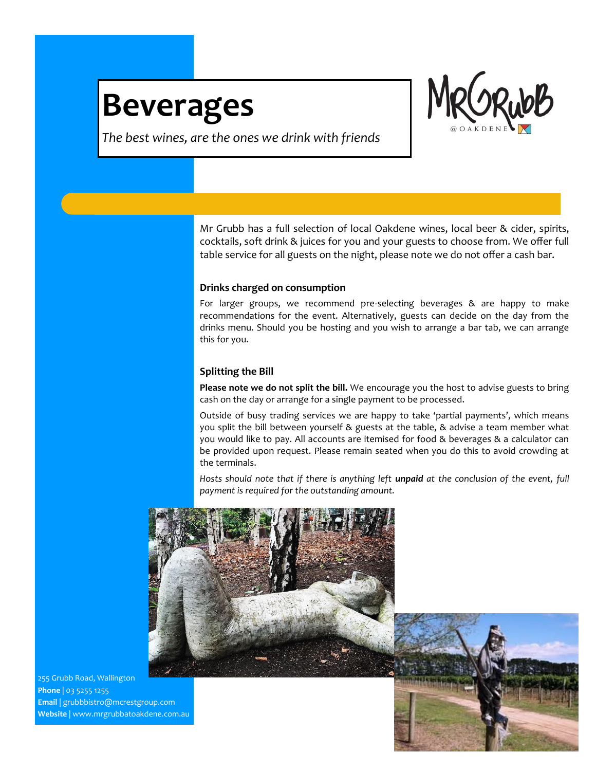## **Beverages**



*The best wines, are the ones we drink with friends*

Mr Grubb has a full selection of local Oakdene wines, local beer & cider, spirits, cocktails, soft drink & juices for you and your guests to choose from. We offer full table service for all guests on the night, please note we do not offer a cash bar.

### **Drinks charged on consumption**

For larger groups, we recommend pre-selecting beverages & are happy to make recommendations for the event. Alternatively, guests can decide on the day from the drinks menu. Should you be hosting and you wish to arrange a bar tab, we can arrange this for you.

### **Splitting the Bill**

**Please note we do not split the bill.** We encourage you the host to advise guests to bring cash on the day or arrange for a single payment to be processed.

Outside of busy trading services we are happy to take 'partial payments', which means you split the bill between yourself & guests at the table, & advise a team member what you would like to pay. All accounts are itemised for food & beverages & a calculator can be provided upon request. Please remain seated when you do this to avoid crowding at the terminals.

Hosts should note that if there is anything left *unpaid* at the conclusion of the event, full *payment is required for the outstanding amount.*